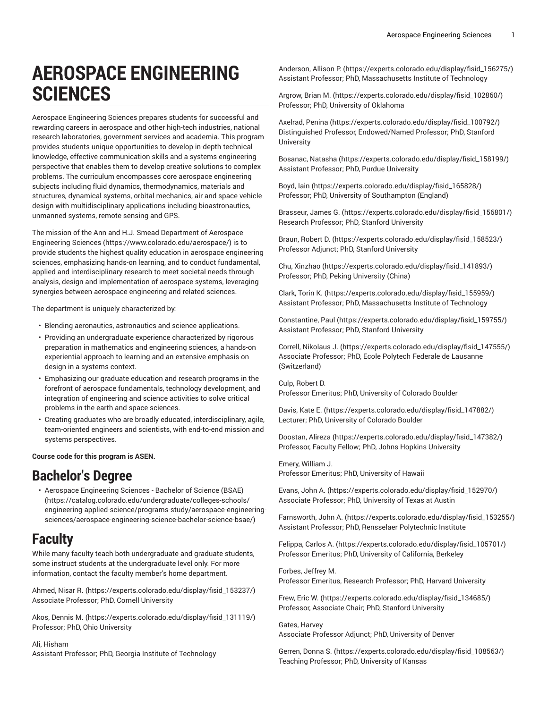# **AEROSPACE ENGINEERING SCIENCES**

Aerospace Engineering Sciences prepares students for successful and rewarding careers in aerospace and other high-tech industries, national research laboratories, government services and academia. This program provides students unique opportunities to develop in-depth technical knowledge, effective communication skills and a systems engineering perspective that enables them to develop creative solutions to complex problems. The curriculum encompasses core aerospace engineering subjects including fluid dynamics, thermodynamics, materials and structures, dynamical systems, orbital mechanics, air and space vehicle design with multidisciplinary applications including bioastronautics, unmanned systems, remote sensing and GPS.

The mission of the Ann and H.J. Smead [Department](https://www.colorado.edu/aerospace/) of Aerospace [Engineering Sciences](https://www.colorado.edu/aerospace/) (<https://www.colorado.edu/aerospace/>) is to provide students the highest quality education in aerospace engineering sciences, emphasizing hands-on learning, and to conduct fundamental, applied and interdisciplinary research to meet societal needs through analysis, design and implementation of aerospace systems, leveraging synergies between aerospace engineering and related sciences.

The department is uniquely characterized by:

- Blending aeronautics, astronautics and science applications.
- Providing an undergraduate experience characterized by rigorous preparation in mathematics and engineering sciences, a hands-on experiential approach to learning and an extensive emphasis on design in a systems context.
- Emphasizing our graduate education and research programs in the forefront of aerospace fundamentals, technology development, and integration of engineering and science activities to solve critical problems in the earth and space sciences.
- Creating graduates who are broadly educated, interdisciplinary, agile, team-oriented engineers and scientists, with end-to-end mission and systems perspectives.

**Course code for this program is ASEN.**

# **Bachelor's Degree**

• Aerospace [Engineering](https://catalog.colorado.edu/undergraduate/colleges-schools/engineering-applied-science/programs-study/aerospace-engineering-sciences/aerospace-engineering-science-bachelor-science-bsae/) Sciences - Bachelor of Science (BSAE) ([https://catalog.colorado.edu/undergraduate/colleges-schools/](https://catalog.colorado.edu/undergraduate/colleges-schools/engineering-applied-science/programs-study/aerospace-engineering-sciences/aerospace-engineering-science-bachelor-science-bsae/) [engineering-applied-science/programs-study/aerospace-engineering](https://catalog.colorado.edu/undergraduate/colleges-schools/engineering-applied-science/programs-study/aerospace-engineering-sciences/aerospace-engineering-science-bachelor-science-bsae/)[sciences/aerospace-engineering-science-bachelor-science-bsae/\)](https://catalog.colorado.edu/undergraduate/colleges-schools/engineering-applied-science/programs-study/aerospace-engineering-sciences/aerospace-engineering-science-bachelor-science-bsae/)

# **Faculty**

While many faculty teach both undergraduate and graduate students, some instruct students at the undergraduate level only. For more information, contact the faculty member's home department.

[Ahmed, Nisar R.](https://experts.colorado.edu/display/fisid_153237/) [\(https://experts.colorado.edu/display/fisid\\_153237/\)](https://experts.colorado.edu/display/fisid_153237/) Associate Professor; PhD, Cornell University

[Akos, Dennis M.](https://experts.colorado.edu/display/fisid_131119/) [\(https://experts.colorado.edu/display/fisid\\_131119/\)](https://experts.colorado.edu/display/fisid_131119/) Professor; PhD, Ohio University

Ali, Hisham Assistant Professor; PhD, Georgia Institute of Technology

[Anderson,](https://experts.colorado.edu/display/fisid_156275/) Allison P. [\(https://experts.colorado.edu/display/fisid\\_156275/\)](https://experts.colorado.edu/display/fisid_156275/) Assistant Professor; PhD, Massachusetts Institute of Technology

[Argrow,](https://experts.colorado.edu/display/fisid_102860/) Brian M. ([https://experts.colorado.edu/display/fisid\\_102860/](https://experts.colorado.edu/display/fisid_102860/)) Professor; PhD, University of Oklahoma

[Axelrad,](https://experts.colorado.edu/display/fisid_100792/) Penina [\(https://experts.colorado.edu/display/fisid\\_100792/](https://experts.colorado.edu/display/fisid_100792/)) Distinguished Professor, Endowed/Named Professor; PhD, Stanford University

[Bosanac, Natasha \(https://experts.colorado.edu/display/fisid\\_158199/](https://experts.colorado.edu/display/fisid_158199/)) Assistant Professor; PhD, Purdue University

[Boyd,](https://experts.colorado.edu/display/fisid_165828/) Iain ([https://experts.colorado.edu/display/fisid\\_165828/\)](https://experts.colorado.edu/display/fisid_165828/) Professor; PhD, University of Southampton (England)

[Brasseur,](https://experts.colorado.edu/display/fisid_156801/) James G. ([https://experts.colorado.edu/display/fisid\\_156801/](https://experts.colorado.edu/display/fisid_156801/)) Research Professor; PhD, Stanford University

Braun, [Robert](https://experts.colorado.edu/display/fisid_158523/) D. ([https://experts.colorado.edu/display/fisid\\_158523/\)](https://experts.colorado.edu/display/fisid_158523/) Professor Adjunct; PhD, Stanford University

[Chu, Xinzhao](https://experts.colorado.edu/display/fisid_141893/) ([https://experts.colorado.edu/display/fisid\\_141893/\)](https://experts.colorado.edu/display/fisid_141893/) Professor; PhD, Peking University (China)

[Clark,](https://experts.colorado.edu/display/fisid_155959/) Torin K. [\(https://experts.colorado.edu/display/fisid\\_155959/](https://experts.colorado.edu/display/fisid_155959/)) Assistant Professor; PhD, Massachusetts Institute of Technology

[Constantine,](https://experts.colorado.edu/display/fisid_159755/) Paul [\(https://experts.colorado.edu/display/fisid\\_159755/\)](https://experts.colorado.edu/display/fisid_159755/) Assistant Professor; PhD, Stanford University

Correll, [Nikolaus](https://experts.colorado.edu/display/fisid_147555/) J. ([https://experts.colorado.edu/display/fisid\\_147555/\)](https://experts.colorado.edu/display/fisid_147555/) Associate Professor; PhD, Ecole Polytech Federale de Lausanne (Switzerland)

Culp, Robert D. Professor Emeritus; PhD, University of Colorado Boulder

[Davis,](https://experts.colorado.edu/display/fisid_147882/) Kate E. ([https://experts.colorado.edu/display/fisid\\_147882/](https://experts.colorado.edu/display/fisid_147882/)) Lecturer; PhD, University of Colorado Boulder

[Doostan,](https://experts.colorado.edu/display/fisid_147382/) Alireza [\(https://experts.colorado.edu/display/fisid\\_147382/](https://experts.colorado.edu/display/fisid_147382/)) Professor, Faculty Fellow; PhD, Johns Hopkins University

Emery, William J. Professor Emeritus; PhD, University of Hawaii

[Evans,](https://experts.colorado.edu/display/fisid_152970/) John A. ([https://experts.colorado.edu/display/fisid\\_152970/](https://experts.colorado.edu/display/fisid_152970/)) Associate Professor; PhD, University of Texas at Austin

[Farnsworth,](https://experts.colorado.edu/display/fisid_153255/) John A. ([https://experts.colorado.edu/display/fisid\\_153255/\)](https://experts.colorado.edu/display/fisid_153255/) Assistant Professor; PhD, Rensselaer Polytechnic Institute

[Felippa,](https://experts.colorado.edu/display/fisid_105701/) Carlos A. [\(https://experts.colorado.edu/display/fisid\\_105701/\)](https://experts.colorado.edu/display/fisid_105701/) Professor Emeritus; PhD, University of California, Berkeley

Forbes, Jeffrey M. Professor Emeritus, Research Professor; PhD, Harvard University

[Frew,](https://experts.colorado.edu/display/fisid_134685/) Eric W. ([https://experts.colorado.edu/display/fisid\\_134685/\)](https://experts.colorado.edu/display/fisid_134685/) Professor, Associate Chair; PhD, Stanford University

Gates, Harvey Associate Professor Adjunct; PhD, University of Denver

[Gerren,](https://experts.colorado.edu/display/fisid_108563/) Donna S. ([https://experts.colorado.edu/display/fisid\\_108563/\)](https://experts.colorado.edu/display/fisid_108563/) Teaching Professor; PhD, University of Kansas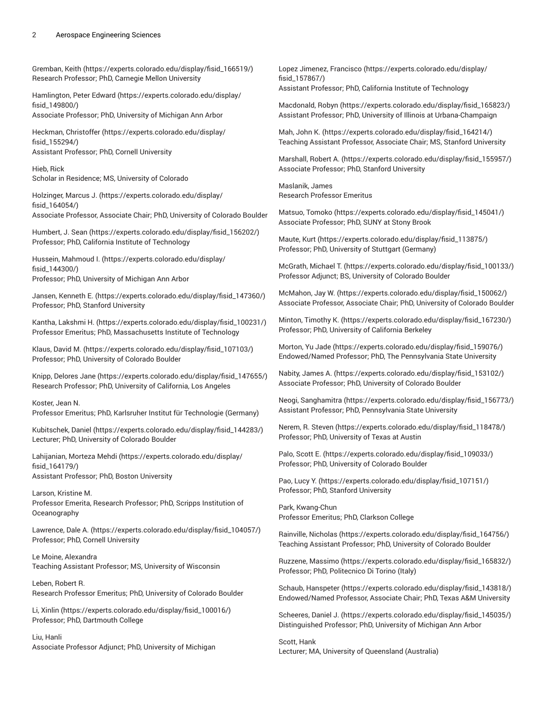#### 2 Aerospace Engineering Sciences

[Gremban,](https://experts.colorado.edu/display/fisid_166519/) Keith ([https://experts.colorado.edu/display/fisid\\_166519/](https://experts.colorado.edu/display/fisid_166519/)) Research Professor; PhD, Carnegie Mellon University

[Hamlington,](https://experts.colorado.edu/display/fisid_149800/) Peter Edward [\(https://experts.colorado.edu/display/](https://experts.colorado.edu/display/fisid_149800/) [fisid\\_149800/](https://experts.colorado.edu/display/fisid_149800/))

Associate Professor; PhD, University of Michigan Ann Arbor

Heckman, [Christoffer](https://experts.colorado.edu/display/fisid_155294/) ([https://experts.colorado.edu/display/](https://experts.colorado.edu/display/fisid_155294/) [fisid\\_155294/](https://experts.colorado.edu/display/fisid_155294/)) Assistant Professor; PhD, Cornell University

Hieb, Rick Scholar in Residence; MS, University of Colorado

[Holzinger,](https://experts.colorado.edu/display/fisid_164054/) Marcus J. [\(https://experts.colorado.edu/display/](https://experts.colorado.edu/display/fisid_164054/) [fisid\\_164054/](https://experts.colorado.edu/display/fisid_164054/)) Associate Professor, Associate Chair; PhD, University of Colorado Boulder

[Humbert,](https://experts.colorado.edu/display/fisid_156202/) J. Sean [\(https://experts.colorado.edu/display/fisid\\_156202/](https://experts.colorado.edu/display/fisid_156202/)) Professor; PhD, California Institute of Technology

[Hussein, Mahmoud I.](https://experts.colorado.edu/display/fisid_144300/) ([https://experts.colorado.edu/display/](https://experts.colorado.edu/display/fisid_144300/) [fisid\\_144300/](https://experts.colorado.edu/display/fisid_144300/)) Professor; PhD, University of Michigan Ann Arbor

Jansen, [Kenneth](https://experts.colorado.edu/display/fisid_147360/) E. [\(https://experts.colorado.edu/display/fisid\\_147360/\)](https://experts.colorado.edu/display/fisid_147360/) Professor; PhD, Stanford University

[Kantha, Lakshmi H. \(https://experts.colorado.edu/display/fisid\\_100231/](https://experts.colorado.edu/display/fisid_100231/)) Professor Emeritus; PhD, Massachusetts Institute of Technology

[Klaus,](https://experts.colorado.edu/display/fisid_107103/) David M. ([https://experts.colorado.edu/display/fisid\\_107103/](https://experts.colorado.edu/display/fisid_107103/)) Professor; PhD, University of Colorado Boulder

Knipp, [Delores](https://experts.colorado.edu/display/fisid_147655/) Jane ([https://experts.colorado.edu/display/fisid\\_147655/](https://experts.colorado.edu/display/fisid_147655/)) Research Professor; PhD, University of California, Los Angeles

Koster, Jean N.

Professor Emeritus; PhD, Karlsruher Institut für Technologie (Germany)

[Kubitschek,](https://experts.colorado.edu/display/fisid_144283/) Daniel ([https://experts.colorado.edu/display/fisid\\_144283/\)](https://experts.colorado.edu/display/fisid_144283/) Lecturer; PhD, University of Colorado Boulder

[Lahijanian,](https://experts.colorado.edu/display/fisid_164179/) Morteza Mehdi [\(https://experts.colorado.edu/display/](https://experts.colorado.edu/display/fisid_164179/) [fisid\\_164179/](https://experts.colorado.edu/display/fisid_164179/)) Assistant Professor; PhD, Boston University

Larson, Kristine M. Professor Emerita, Research Professor; PhD, Scripps Institution of Oceanography

[Lawrence,](https://experts.colorado.edu/display/fisid_104057/) Dale A. [\(https://experts.colorado.edu/display/fisid\\_104057/\)](https://experts.colorado.edu/display/fisid_104057/) Professor; PhD, Cornell University

Le Moine, Alexandra Teaching Assistant Professor; MS, University of Wisconsin

Leben, Robert R. Research Professor Emeritus; PhD, University of Colorado Boulder

[Li, Xinlin](https://experts.colorado.edu/display/fisid_100016/) ([https://experts.colorado.edu/display/fisid\\_100016/](https://experts.colorado.edu/display/fisid_100016/)) Professor; PhD, Dartmouth College

Liu, Hanli Associate Professor Adjunct; PhD, University of Michigan

Lopez Jimenez, [Francisco](https://experts.colorado.edu/display/fisid_157867/) [\(https://experts.colorado.edu/display/](https://experts.colorado.edu/display/fisid_157867/) [fisid\\_157867/\)](https://experts.colorado.edu/display/fisid_157867/) Assistant Professor; PhD, California Institute of Technology

[Macdonald,](https://experts.colorado.edu/display/fisid_165823/) Robyn ([https://experts.colorado.edu/display/fisid\\_165823/](https://experts.colorado.edu/display/fisid_165823/)) Assistant Professor; PhD, University of Illinois at Urbana-Champaign

[Mah, John K.](https://experts.colorado.edu/display/fisid_164214/) ([https://experts.colorado.edu/display/fisid\\_164214/\)](https://experts.colorado.edu/display/fisid_164214/) Teaching Assistant Professor, Associate Chair; MS, Stanford University

[Marshall,](https://experts.colorado.edu/display/fisid_155957/) Robert A. [\(https://experts.colorado.edu/display/fisid\\_155957/](https://experts.colorado.edu/display/fisid_155957/)) Associate Professor; PhD, Stanford University

Maslanik, James Research Professor Emeritus

[Matsuo,](https://experts.colorado.edu/display/fisid_145041/) Tomoko [\(https://experts.colorado.edu/display/fisid\\_145041/\)](https://experts.colorado.edu/display/fisid_145041/) Associate Professor; PhD, SUNY at Stony Brook

[Maute,](https://experts.colorado.edu/display/fisid_113875/) Kurt ([https://experts.colorado.edu/display/fisid\\_113875/](https://experts.colorado.edu/display/fisid_113875/)) Professor; PhD, University of Stuttgart (Germany)

[McGrath,](https://experts.colorado.edu/display/fisid_100133/) Michael T. ([https://experts.colorado.edu/display/fisid\\_100133/\)](https://experts.colorado.edu/display/fisid_100133/) Professor Adjunct; BS, University of Colorado Boulder

[McMahon,](https://experts.colorado.edu/display/fisid_150062/) Jay W. [\(https://experts.colorado.edu/display/fisid\\_150062/](https://experts.colorado.edu/display/fisid_150062/)) Associate Professor, Associate Chair; PhD, University of Colorado Boulder

[Minton, Timothy K.](https://experts.colorado.edu/display/fisid_167230/) ([https://experts.colorado.edu/display/fisid\\_167230/\)](https://experts.colorado.edu/display/fisid_167230/) Professor; PhD, University of California Berkeley

[Morton,](https://experts.colorado.edu/display/fisid_159076/) Yu Jade ([https://experts.colorado.edu/display/fisid\\_159076/](https://experts.colorado.edu/display/fisid_159076/)) Endowed/Named Professor; PhD, The Pennsylvania State University

[Nabity,](https://experts.colorado.edu/display/fisid_153102/) James A. ([https://experts.colorado.edu/display/fisid\\_153102/\)](https://experts.colorado.edu/display/fisid_153102/) Associate Professor; PhD, University of Colorado Boulder

[Neogi, Sanghamitra](https://experts.colorado.edu/display/fisid_156773/) ([https://experts.colorado.edu/display/fisid\\_156773/\)](https://experts.colorado.edu/display/fisid_156773/) Assistant Professor; PhD, Pennsylvania State University

[Nerem,](https://experts.colorado.edu/display/fisid_118478/) R. Steven [\(https://experts.colorado.edu/display/fisid\\_118478/](https://experts.colorado.edu/display/fisid_118478/)) Professor; PhD, University of Texas at Austin

Palo, [Scott](https://experts.colorado.edu/display/fisid_109033/) E. ([https://experts.colorado.edu/display/fisid\\_109033/](https://experts.colorado.edu/display/fisid_109033/)) Professor; PhD, University of Colorado Boulder

Pao, [Lucy](https://experts.colorado.edu/display/fisid_107151/) Y. ([https://experts.colorado.edu/display/fisid\\_107151/](https://experts.colorado.edu/display/fisid_107151/)) Professor; PhD, Stanford University

Park, Kwang-Chun Professor Emeritus; PhD, Clarkson College

[Rainville, Nicholas](https://experts.colorado.edu/display/fisid_164756/) ([https://experts.colorado.edu/display/fisid\\_164756/](https://experts.colorado.edu/display/fisid_164756/)) Teaching Assistant Professor; PhD, University of Colorado Boulder

Ruzzene, [Massimo](https://experts.colorado.edu/display/fisid_165832/) ([https://experts.colorado.edu/display/fisid\\_165832/](https://experts.colorado.edu/display/fisid_165832/)) Professor; PhD, Politecnico Di Torino (Italy)

[Schaub, Hanspeter \(https://experts.colorado.edu/display/fisid\\_143818/\)](https://experts.colorado.edu/display/fisid_143818/) Endowed/Named Professor, Associate Chair; PhD, Texas A&M University

[Scheeres,](https://experts.colorado.edu/display/fisid_145035/) Daniel J. ([https://experts.colorado.edu/display/fisid\\_145035/\)](https://experts.colorado.edu/display/fisid_145035/) Distinguished Professor; PhD, University of Michigan Ann Arbor

Scott, Hank Lecturer; MA, University of Queensland (Australia)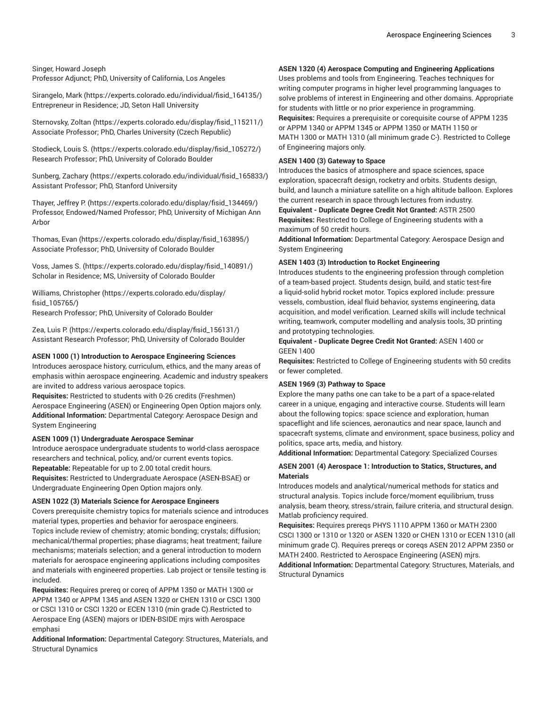#### Singer, Howard Joseph Professor Adjunct; PhD, University of California, Los Angeles

[Sirangelo, Mark \(https://experts.colorado.edu/individual/fisid\\_164135/](https://experts.colorado.edu/individual/fisid_164135/)) Entrepreneur in Residence; JD, Seton Hall University

[Sternovsky,](https://experts.colorado.edu/display/fisid_115211/) Zoltan ([https://experts.colorado.edu/display/fisid\\_115211/](https://experts.colorado.edu/display/fisid_115211/)) Associate Professor; PhD, Charles University (Czech Republic)

[Stodieck, Louis S. \(https://experts.colorado.edu/display/fisid\\_105272/\)](https://experts.colorado.edu/display/fisid_105272/) Research Professor; PhD, University of Colorado Boulder

[Sunberg,](https://experts.colorado.edu/individual/fisid_165833/) Zachary [\(https://experts.colorado.edu/individual/fisid\\_165833/](https://experts.colorado.edu/individual/fisid_165833/)) Assistant Professor; PhD, Stanford University

[Thayer,](https://experts.colorado.edu/display/fisid_134469/) Jeffrey P. ([https://experts.colorado.edu/display/fisid\\_134469/](https://experts.colorado.edu/display/fisid_134469/)) Professor, Endowed/Named Professor; PhD, University of Michigan Ann Arbor

[Thomas,](https://experts.colorado.edu/display/fisid_163895/) Evan ([https://experts.colorado.edu/display/fisid\\_163895/\)](https://experts.colorado.edu/display/fisid_163895/) Associate Professor; PhD, University of Colorado Boulder

Voss, [James](https://experts.colorado.edu/display/fisid_140891/) S. [\(https://experts.colorado.edu/display/fisid\\_140891/\)](https://experts.colorado.edu/display/fisid_140891/) Scholar in Residence; MS, University of Colorado Boulder

[Williams, Christopher](https://experts.colorado.edu/display/fisid_105765/) ([https://experts.colorado.edu/display/](https://experts.colorado.edu/display/fisid_105765/) [fisid\\_105765/](https://experts.colorado.edu/display/fisid_105765/)) Research Professor; PhD, University of Colorado Boulder

Zea, [Luis](https://experts.colorado.edu/display/fisid_156131/) P. [\(https://experts.colorado.edu/display/fisid\\_156131/\)](https://experts.colorado.edu/display/fisid_156131/) Assistant Research Professor; PhD, University of Colorado Boulder

#### **ASEN 1000 (1) Introduction to Aerospace Engineering Sciences**

Introduces aerospace history, curriculum, ethics, and the many areas of emphasis within aerospace engineering. Academic and industry speakers are invited to address various aerospace topics.

**Requisites:** Restricted to students with 0-26 credits (Freshmen) Aerospace Engineering (ASEN) or Engineering Open Option majors only. **Additional Information:** Departmental Category: Aerospace Design and System Engineering

#### **ASEN 1009 (1) Undergraduate Aerospace Seminar**

Introduce aerospace undergraduate students to world-class aerospace researchers and technical, policy, and/or current events topics. **Repeatable:** Repeatable for up to 2.00 total credit hours. **Requisites:** Restricted to Undergraduate Aerospace (ASEN-BSAE) or

Undergraduate Engineering Open Option majors only.

# **ASEN 1022 (3) Materials Science for Aerospace Engineers**

Covers prerequisite chemistry topics for materials science and introduces material types, properties and behavior for aerospace engineers. Topics include review of chemistry; atomic bonding; crystals; diffusion; mechanical/thermal properties; phase diagrams; heat treatment; failure mechanisms; materials selection; and a general introduction to modern materials for aerospace engineering applications including composites and materials with engineered properties. Lab project or tensile testing is included.

**Requisites:** Requires prereq or coreq of APPM 1350 or MATH 1300 or APPM 1340 or APPM 1345 and ASEN 1320 or CHEN 1310 or CSCI 1300 or CSCI 1310 or CSCI 1320 or ECEN 1310 (min grade C).Restricted to Aerospace Eng (ASEN) majors or IDEN-BSIDE mjrs with Aerospace emphasi

**Additional Information:** Departmental Category: Structures, Materials, and Structural Dynamics

# **ASEN 1320 (4) Aerospace Computing and Engineering Applications**

Uses problems and tools from Engineering. Teaches techniques for writing computer programs in higher level programming languages to solve problems of interest in Engineering and other domains. Appropriate for students with little or no prior experience in programming. **Requisites:** Requires a prerequisite or corequisite course of APPM 1235

or APPM 1340 or APPM 1345 or APPM 1350 or MATH 1150 or MATH 1300 or MATH 1310 (all minimum grade C-). Restricted to College of Engineering majors only.

# **ASEN 1400 (3) Gateway to Space**

Introduces the basics of atmosphere and space sciences, space exploration, spacecraft design, rocketry and orbits. Students design, build, and launch a miniature satellite on a high altitude balloon. Explores the current research in space through lectures from industry.

**Equivalent - Duplicate Degree Credit Not Granted:** ASTR 2500 **Requisites:** Restricted to College of Engineering students with a maximum of 50 credit hours.

**Additional Information:** Departmental Category: Aerospace Design and System Engineering

#### **ASEN 1403 (3) Introduction to Rocket Engineering**

Introduces students to the engineering profession through completion of a team-based project. Students design, build, and static test-fire a liquid-solid hybrid rocket motor. Topics explored include: pressure vessels, combustion, ideal fluid behavior, systems engineering, data acquisition, and model verification. Learned skills will include technical writing, teamwork, computer modelling and analysis tools, 3D printing and prototyping technologies.

## **Equivalent - Duplicate Degree Credit Not Granted:** ASEN 1400 or GEEN 1400

**Requisites:** Restricted to College of Engineering students with 50 credits or fewer completed.

#### **ASEN 1969 (3) Pathway to Space**

Explore the many paths one can take to be a part of a space-related career in a unique, engaging and interactive course. Students will learn about the following topics: space science and exploration, human spaceflight and life sciences, aeronautics and near space, launch and spacecraft systems, climate and environment, space business, policy and politics, space arts, media, and history.

**Additional Information:** Departmental Category: Specialized Courses

# **ASEN 2001 (4) Aerospace 1: Introduction to Statics, Structures, and Materials**

Introduces models and analytical/numerical methods for statics and structural analysis. Topics include force/moment equilibrium, truss analysis, beam theory, stress/strain, failure criteria, and structural design. Matlab proficiency required.

**Requisites:** Requires prereqs PHYS 1110 APPM 1360 or MATH 2300 CSCI 1300 or 1310 or 1320 or ASEN 1320 or CHEN 1310 or ECEN 1310 (all minimum grade C). Requires prereqs or coreqs ASEN 2012 APPM 2350 or MATH 2400. Restricted to Aerospace Engineering (ASEN) mjrs.

**Additional Information:** Departmental Category: Structures, Materials, and Structural Dynamics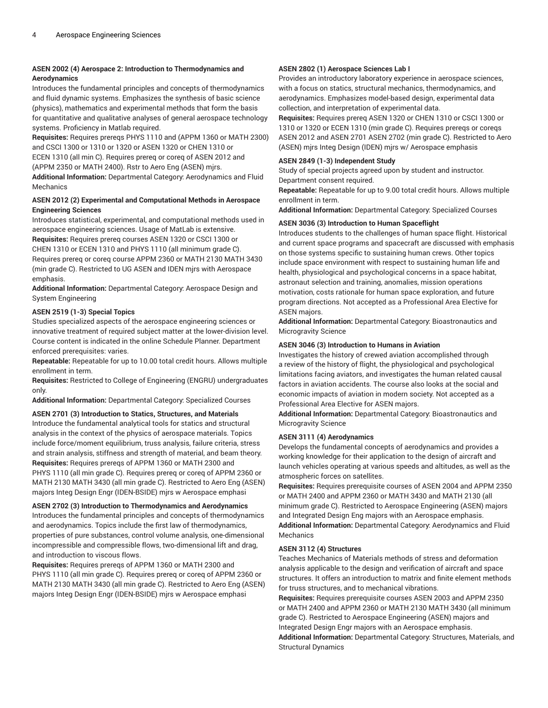# **ASEN 2002 (4) Aerospace 2: Introduction to Thermodynamics and Aerodynamics**

Introduces the fundamental principles and concepts of thermodynamics and fluid dynamic systems. Emphasizes the synthesis of basic science (physics), mathematics and experimental methods that form the basis for quantitative and qualitative analyses of general aerospace technology systems. Proficiency in Matlab required.

**Requisites:** Requires prereqs PHYS 1110 and (APPM 1360 or MATH 2300) and CSCI 1300 or 1310 or 1320 or ASEN 1320 or CHEN 1310 or ECEN 1310 (all min C). Requires prereq or coreq of ASEN 2012 and (APPM 2350 or MATH 2400). Rstr to Aero Eng (ASEN) mjrs.

**Additional Information:** Departmental Category: Aerodynamics and Fluid Mechanics

# **ASEN 2012 (2) Experimental and Computational Methods in Aerospace Engineering Sciences**

Introduces statistical, experimental, and computational methods used in aerospace engineering sciences. Usage of MatLab is extensive.

**Requisites:** Requires prereq courses ASEN 1320 or CSCI 1300 or CHEN 1310 or ECEN 1310 and PHYS 1110 (all minimum grade C). Requires prereq or coreq course APPM 2360 or MATH 2130 MATH 3430 (min grade C). Restricted to UG ASEN and IDEN mjrs with Aerospace emphasis.

**Additional Information:** Departmental Category: Aerospace Design and System Engineering

# **ASEN 2519 (1-3) Special Topics**

Studies specialized aspects of the aerospace engineering sciences or innovative treatment of required subject matter at the lower-division level. Course content is indicated in the online Schedule Planner. Department enforced prerequisites: varies.

**Repeatable:** Repeatable for up to 10.00 total credit hours. Allows multiple enrollment in term.

**Requisites:** Restricted to College of Engineering (ENGRU) undergraduates only.

**Additional Information:** Departmental Category: Specialized Courses

## **ASEN 2701 (3) Introduction to Statics, Structures, and Materials**

Introduce the fundamental analytical tools for statics and structural analysis in the context of the physics of aerospace materials. Topics include force/moment equilibrium, truss analysis, failure criteria, stress and strain analysis, stiffness and strength of material, and beam theory. **Requisites:** Requires prereqs of APPM 1360 or MATH 2300 and PHYS 1110 (all min grade C). Requires prereq or coreq of APPM 2360 or MATH 2130 MATH 3430 (all min grade C). Restricted to Aero Eng (ASEN) majors Integ Design Engr (IDEN-BSIDE) mjrs w Aerospace emphasi

# **ASEN 2702 (3) Introduction to Thermodynamics and Aerodynamics**

Introduces the fundamental principles and concepts of thermodynamics and aerodynamics. Topics include the first law of thermodynamics, properties of pure substances, control volume analysis, one-dimensional incompressible and compressible flows, two-dimensional lift and drag, and introduction to viscous flows.

**Requisites:** Requires prereqs of APPM 1360 or MATH 2300 and PHYS 1110 (all min grade C). Requires prereq or coreq of APPM 2360 or MATH 2130 MATH 3430 (all min grade C). Restricted to Aero Eng (ASEN) majors Integ Design Engr (IDEN-BSIDE) mjrs w Aerospace emphasi

# **ASEN 2802 (1) Aerospace Sciences Lab I**

Provides an introductory laboratory experience in aerospace sciences, with a focus on statics, structural mechanics, thermodynamics, and aerodynamics. Emphasizes model-based design, experimental data collection, and interpretation of experimental data.

**Requisites:** Requires prereq ASEN 1320 or CHEN 1310 or CSCI 1300 or 1310 or 1320 or ECEN 1310 (min grade C). Requires prereqs or coreqs ASEN 2012 and ASEN 2701 ASEN 2702 (min grade C). Restricted to Aero (ASEN) mjrs Integ Design (IDEN) mjrs w/ Aerospace emphasis

# **ASEN 2849 (1-3) Independent Study**

Study of special projects agreed upon by student and instructor. Department consent required.

**Repeatable:** Repeatable for up to 9.00 total credit hours. Allows multiple enrollment in term.

**Additional Information:** Departmental Category: Specialized Courses

# **ASEN 3036 (3) Introduction to Human Spaceflight**

Introduces students to the challenges of human space flight. Historical and current space programs and spacecraft are discussed with emphasis on those systems specific to sustaining human crews. Other topics include space environment with respect to sustaining human life and health, physiological and psychological concerns in a space habitat, astronaut selection and training, anomalies, mission operations motivation, costs rationale for human space exploration, and future program directions. Not accepted as a Professional Area Elective for ASEN majors.

**Additional Information:** Departmental Category: Bioastronautics and Microgravity Science

# **ASEN 3046 (3) Introduction to Humans in Aviation**

Investigates the history of crewed aviation accomplished through a review of the history of flight, the physiological and psychological limitations facing aviators, and investigates the human related causal factors in aviation accidents. The course also looks at the social and economic impacts of aviation in modern society. Not accepted as a Professional Area Elective for ASEN majors.

**Additional Information:** Departmental Category: Bioastronautics and Microgravity Science

# **ASEN 3111 (4) Aerodynamics**

Develops the fundamental concepts of aerodynamics and provides a working knowledge for their application to the design of aircraft and launch vehicles operating at various speeds and altitudes, as well as the atmospheric forces on satellites.

**Requisites:** Requires prerequisite courses of ASEN 2004 and APPM 2350 or MATH 2400 and APPM 2360 or MATH 3430 and MATH 2130 (all minimum grade C). Restricted to Aerospace Engineering (ASEN) majors and Integrated Design Eng majors with an Aerospace emphasis. **Additional Information:** Departmental Category: Aerodynamics and Fluid Mechanics

#### **ASEN 3112 (4) Structures**

Teaches Mechanics of Materials methods of stress and deformation analysis applicable to the design and verification of aircraft and space structures. It offers an introduction to matrix and finite element methods for truss structures, and to mechanical vibrations.

**Requisites:** Requires prerequisite courses ASEN 2003 and APPM 2350 or MATH 2400 and APPM 2360 or MATH 2130 MATH 3430 (all minimum grade C). Restricted to Aerospace Engineering (ASEN) majors and Integrated Design Engr majors with an Aerospace emphasis. **Additional Information:** Departmental Category: Structures, Materials, and Structural Dynamics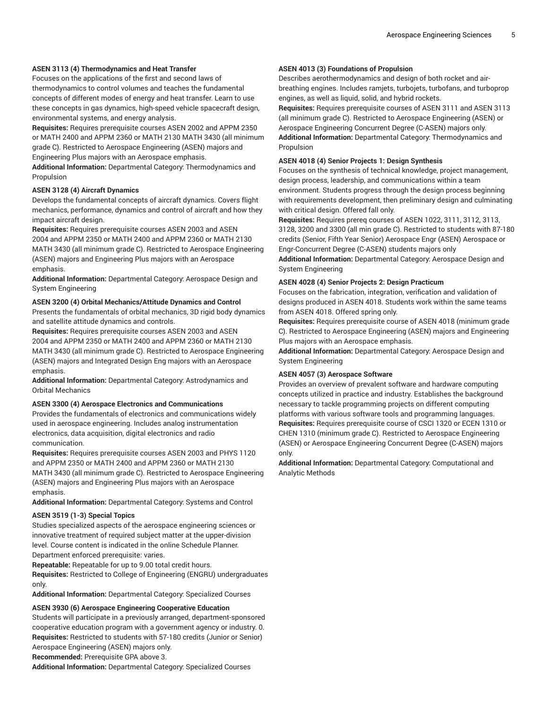# **ASEN 3113 (4) Thermodynamics and Heat Transfer**

Focuses on the applications of the first and second laws of thermodynamics to control volumes and teaches the fundamental concepts of different modes of energy and heat transfer. Learn to use these concepts in gas dynamics, high-speed vehicle spacecraft design, environmental systems, and energy analysis.

**Requisites:** Requires prerequisite courses ASEN 2002 and APPM 2350 or MATH 2400 and APPM 2360 or MATH 2130 MATH 3430 (all minimum grade C). Restricted to Aerospace Engineering (ASEN) majors and Engineering Plus majors with an Aerospace emphasis.

**Additional Information:** Departmental Category: Thermodynamics and Propulsion

# **ASEN 3128 (4) Aircraft Dynamics**

Develops the fundamental concepts of aircraft dynamics. Covers flight mechanics, performance, dynamics and control of aircraft and how they impact aircraft design.

**Requisites:** Requires prerequisite courses ASEN 2003 and ASEN 2004 and APPM 2350 or MATH 2400 and APPM 2360 or MATH 2130 MATH 3430 (all minimum grade C). Restricted to Aerospace Engineering (ASEN) majors and Engineering Plus majors with an Aerospace emphasis.

**Additional Information:** Departmental Category: Aerospace Design and System Engineering

#### **ASEN 3200 (4) Orbital Mechanics/Attitude Dynamics and Control**

Presents the fundamentals of orbital mechanics, 3D rigid body dynamics and satellite attitude dynamics and controls.

**Requisites:** Requires prerequisite courses ASEN 2003 and ASEN 2004 and APPM 2350 or MATH 2400 and APPM 2360 or MATH 2130 MATH 3430 (all minimum grade C). Restricted to Aerospace Engineering (ASEN) majors and Integrated Design Eng majors with an Aerospace emphasis.

**Additional Information:** Departmental Category: Astrodynamics and Orbital Mechanics

# **ASEN 3300 (4) Aerospace Electronics and Communications**

Provides the fundamentals of electronics and communications widely used in aerospace engineering. Includes analog instrumentation electronics, data acquisition, digital electronics and radio communication.

**Requisites:** Requires prerequisite courses ASEN 2003 and PHYS 1120 and APPM 2350 or MATH 2400 and APPM 2360 or MATH 2130 MATH 3430 (all minimum grade C). Restricted to Aerospace Engineering (ASEN) majors and Engineering Plus majors with an Aerospace emphasis.

**Additional Information:** Departmental Category: Systems and Control

#### **ASEN 3519 (1-3) Special Topics**

Studies specialized aspects of the aerospace engineering sciences or innovative treatment of required subject matter at the upper-division level. Course content is indicated in the online Schedule Planner. Department enforced prerequisite: varies.

**Repeatable:** Repeatable for up to 9.00 total credit hours.

**Requisites:** Restricted to College of Engineering (ENGRU) undergraduates only.

**Additional Information:** Departmental Category: Specialized Courses

#### **ASEN 3930 (6) Aerospace Engineering Cooperative Education**

Students will participate in a previously arranged, department-sponsored cooperative education program with a government agency or industry. 0. **Requisites:** Restricted to students with 57-180 credits (Junior or Senior) Aerospace Engineering (ASEN) majors only.

**Recommended:** Prerequisite GPA above 3.

**Additional Information:** Departmental Category: Specialized Courses

# **ASEN 4013 (3) Foundations of Propulsion**

Describes aerothermodynamics and design of both rocket and airbreathing engines. Includes ramjets, turbojets, turbofans, and turboprop engines, as well as liquid, solid, and hybrid rockets.

**Requisites:** Requires prerequisite courses of ASEN 3111 and ASEN 3113 (all minimum grade C). Restricted to Aerospace Engineering (ASEN) or Aerospace Engineering Concurrent Degree (C-ASEN) majors only. **Additional Information:** Departmental Category: Thermodynamics and Propulsion

# **ASEN 4018 (4) Senior Projects 1: Design Synthesis**

Focuses on the synthesis of technical knowledge, project management, design process, leadership, and communications within a team environment. Students progress through the design process beginning with requirements development, then preliminary design and culminating with critical design. Offered fall only.

**Requisites:** Requires prereq courses of ASEN 1022, 3111, 3112, 3113, 3128, 3200 and 3300 (all min grade C). Restricted to students with 87-180 credits (Senior, Fifth Year Senior) Aerospace Engr (ASEN) Aerospace or Engr-Concurrent Degree (C-ASEN) students majors only

**Additional Information:** Departmental Category: Aerospace Design and System Engineering

# **ASEN 4028 (4) Senior Projects 2: Design Practicum**

Focuses on the fabrication, integration, verification and validation of designs produced in ASEN 4018. Students work within the same teams from ASEN 4018. Offered spring only.

**Requisites:** Requires prerequisite course of ASEN 4018 (minimum grade C). Restricted to Aerospace Engineering (ASEN) majors and Engineering Plus majors with an Aerospace emphasis.

**Additional Information:** Departmental Category: Aerospace Design and System Engineering

## **ASEN 4057 (3) Aerospace Software**

Provides an overview of prevalent software and hardware computing concepts utilized in practice and industry. Establishes the background necessary to tackle programming projects on different computing platforms with various software tools and programming languages. **Requisites:** Requires prerequisite course of CSCI 1320 or ECEN 1310 or CHEN 1310 (minimum grade C). Restricted to Aerospace Engineering (ASEN) or Aerospace Engineering Concurrent Degree (C-ASEN) majors only.

**Additional Information:** Departmental Category: Computational and Analytic Methods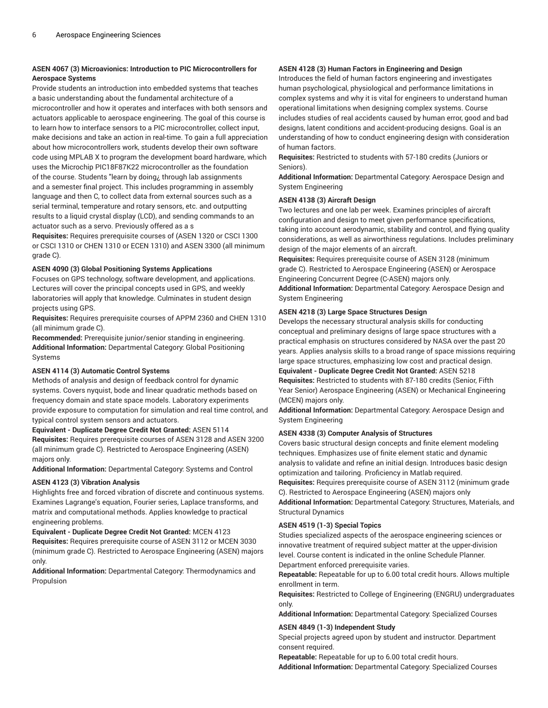# **ASEN 4067 (3) Microavionics: Introduction to PIC Microcontrollers for Aerospace Systems**

Provide students an introduction into embedded systems that teaches a basic understanding about the fundamental architecture of a microcontroller and how it operates and interfaces with both sensors and actuators applicable to aerospace engineering. The goal of this course is to learn how to interface sensors to a PIC microcontroller, collect input, make decisions and take an action in real-time. To gain a full appreciation about how microcontrollers work, students develop their own software code using MPLAB X to program the development board hardware, which uses the Microchip PIC18F87K22 microcontroller as the foundation of the course. Students "learn by doing¿ through lab assignments and a semester final project. This includes programming in assembly language and then C, to collect data from external sources such as a serial terminal, temperature and rotary sensors, etc. and outputting results to a liquid crystal display (LCD), and sending commands to an actuator such as a servo. Previously offered as a s

**Requisites:** Requires prerequisite courses of (ASEN 1320 or CSCI 1300 or CSCI 1310 or CHEN 1310 or ECEN 1310) and ASEN 3300 (all minimum grade C).

#### **ASEN 4090 (3) Global Positioning Systems Applications**

Focuses on GPS technology, software development, and applications. Lectures will cover the principal concepts used in GPS, and weekly laboratories will apply that knowledge. Culminates in student design projects using GPS.

**Requisites:** Requires prerequisite courses of APPM 2360 and CHEN 1310 (all minimum grade C).

**Recommended:** Prerequisite junior/senior standing in engineering. **Additional Information:** Departmental Category: Global Positioning Systems

#### **ASEN 4114 (3) Automatic Control Systems**

Methods of analysis and design of feedback control for dynamic systems. Covers nyquist, bode and linear quadratic methods based on frequency domain and state space models. Laboratory experiments provide exposure to computation for simulation and real time control, and typical control system sensors and actuators.

## **Equivalent - Duplicate Degree Credit Not Granted:** ASEN 5114

**Requisites:** Requires prerequisite courses of ASEN 3128 and ASEN 3200 (all minimum grade C). Restricted to Aerospace Engineering (ASEN) majors only.

**Additional Information:** Departmental Category: Systems and Control

#### **ASEN 4123 (3) Vibration Analysis**

Highlights free and forced vibration of discrete and continuous systems. Examines Lagrange's equation, Fourier series, Laplace transforms, and matrix and computational methods. Applies knowledge to practical engineering problems.

**Equivalent - Duplicate Degree Credit Not Granted:** MCEN 4123 **Requisites:** Requires prerequisite course of ASEN 3112 or MCEN 3030 (minimum grade C). Restricted to Aerospace Engineering (ASEN) majors only.

**Additional Information:** Departmental Category: Thermodynamics and Propulsion

#### **ASEN 4128 (3) Human Factors in Engineering and Design**

Introduces the field of human factors engineering and investigates human psychological, physiological and performance limitations in complex systems and why it is vital for engineers to understand human operational limitations when designing complex systems. Course includes studies of real accidents caused by human error, good and bad designs, latent conditions and accident-producing designs. Goal is an understanding of how to conduct engineering design with consideration of human factors.

**Requisites:** Restricted to students with 57-180 credits (Juniors or Seniors).

**Additional Information:** Departmental Category: Aerospace Design and System Engineering

#### **ASEN 4138 (3) Aircraft Design**

Two lectures and one lab per week. Examines principles of aircraft configuration and design to meet given performance specifications, taking into account aerodynamic, stability and control, and flying quality considerations, as well as airworthiness regulations. Includes preliminary design of the major elements of an aircraft.

**Requisites:** Requires prerequisite course of ASEN 3128 (minimum grade C). Restricted to Aerospace Engineering (ASEN) or Aerospace Engineering Concurrent Degree (C-ASEN) majors only.

**Additional Information:** Departmental Category: Aerospace Design and System Engineering

#### **ASEN 4218 (3) Large Space Structures Design**

Develops the necessary structural analysis skills for conducting conceptual and preliminary designs of large space structures with a practical emphasis on structures considered by NASA over the past 20 years. Applies analysis skills to a broad range of space missions requiring large space structures, emphasizing low cost and practical design. **Equivalent - Duplicate Degree Credit Not Granted:** ASEN 5218

**Requisites:** Restricted to students with 87-180 credits (Senior, Fifth Year Senior) Aerospace Engineering (ASEN) or Mechanical Engineering

(MCEN) majors only. **Additional Information:** Departmental Category: Aerospace Design and System Engineering

#### **ASEN 4338 (3) Computer Analysis of Structures**

Covers basic structural design concepts and finite element modeling techniques. Emphasizes use of finite element static and dynamic analysis to validate and refine an initial design. Introduces basic design optimization and tailoring. Proficiency in Matlab required. **Requisites:** Requires prerequisite course of ASEN 3112 (minimum grade C). Restricted to Aerospace Engineering (ASEN) majors only **Additional Information:** Departmental Category: Structures, Materials, and Structural Dynamics

#### **ASEN 4519 (1-3) Special Topics**

Studies specialized aspects of the aerospace engineering sciences or innovative treatment of required subject matter at the upper-division level. Course content is indicated in the online Schedule Planner. Department enforced prerequisite varies.

**Repeatable:** Repeatable for up to 6.00 total credit hours. Allows multiple enrollment in term.

**Requisites:** Restricted to College of Engineering (ENGRU) undergraduates only.

**Additional Information:** Departmental Category: Specialized Courses

#### **ASEN 4849 (1-3) Independent Study**

Special projects agreed upon by student and instructor. Department consent required.

**Repeatable:** Repeatable for up to 6.00 total credit hours. **Additional Information:** Departmental Category: Specialized Courses